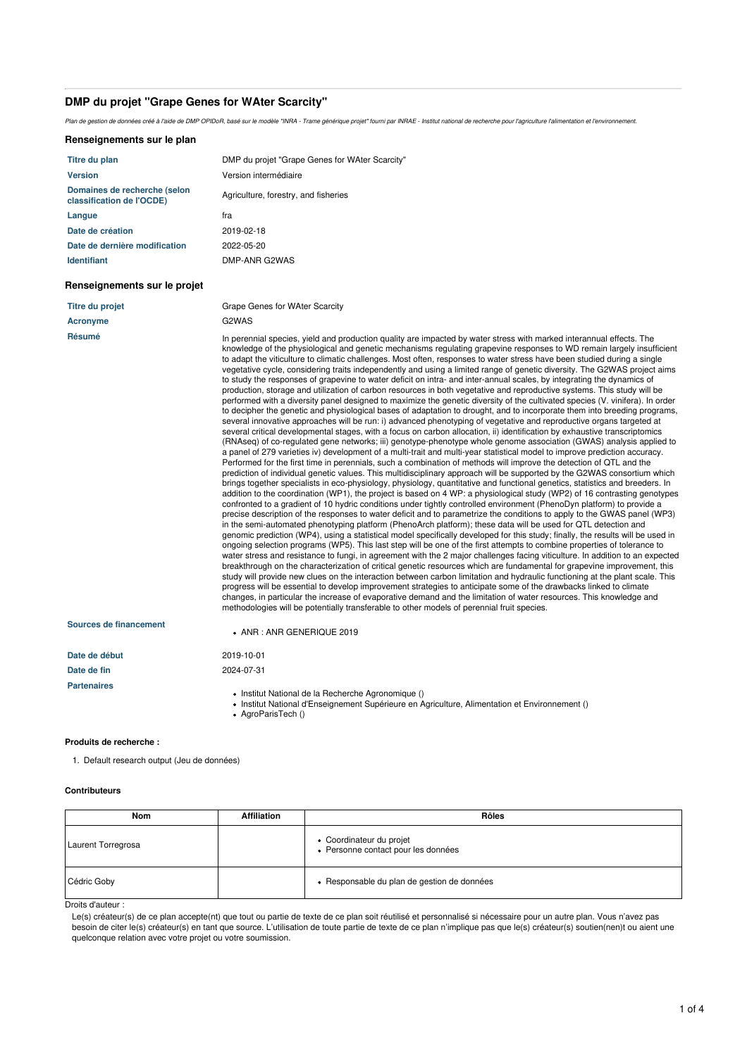# **DMP du projet "Grape Genes for WAter Scarcity"**

Plan de gestion de données créé à l'aide de DMP OPIDoR, basé sur le modèle "INRA - Trame générique projet" fourni par INRAE - Institut national de recherche pour l'agriculture l'alimentation et l'environnement.

### **Renseignements sur le plan**

| Titre du plan                                             | DMP du projet "Grape Genes for WAter Scarcity" |
|-----------------------------------------------------------|------------------------------------------------|
| <b>Version</b>                                            | Version intermédiaire                          |
| Domaines de recherche (selon<br>classification de l'OCDE) | Agriculture, forestry, and fisheries           |
| Langue                                                    | fra                                            |
| Date de création                                          | 2019-02-18                                     |
| Date de dernière modification                             | 2022-05-20                                     |
| <b>Identifiant</b>                                        | DMP-ANR G2WAS                                  |

# **Renseignements sur le projet**

| Titre du projet | Grape Genes for WAter Scarcity                                                                                                                                                                                                          |
|-----------------|-----------------------------------------------------------------------------------------------------------------------------------------------------------------------------------------------------------------------------------------|
| Acronyme        | G2WAS                                                                                                                                                                                                                                   |
| Résumé          | In perennial species, yield and production quality are impacted by water stress with marked interannual effects. The<br>knowledge of the physiological and genetic mechanisms regulating grapevine responses to WD remain largely insul |

D remain largely insufficient to adapt the viticulture to climatic challenges. Most often, responses to water stress have been studied during a single vegetative cycle, considering traits independently and using a limited range of genetic diversity. The G2WAS project aims to study the responses of grapevine to water deficit on intra- and inter-annual scales, by integrating the dynamics of production, storage and utilization of carbon resources in both vegetative and reproductive systems. This study will be performed with a diversity panel designed to maximize the genetic diversity of the cultivated species (V. vinifera). In order to decipher the genetic and physiological bases of adaptation to drought, and to incorporate them into breeding programs, several innovative approaches will be run: i) advanced phenotyping of vegetative and reproductive organs targeted at several critical developmental stages, with a focus on carbon allocation, ii) identification by exhaustive transcriptomics (RNAseq) of co-regulated gene networks; iii) genotype-phenotype whole genome association (GWAS) analysis applied to a panel of 279 varieties iv) development of a multi-trait and multi-year statistical model to improve prediction accuracy. Performed for the first time in perennials, such a combination of methods will improve the detection of QTL and the prediction of individual genetic values. This multidisciplinary approach will be supported by the G2WAS consortium which brings together specialists in eco-physiology, physiology, quantitative and functional genetics, statistics and breeders. In addition to the coordination (WP1), the project is based on 4 WP: a physiological study (WP2) of 16 contrasting genotypes confronted to a gradient of 10 hydric conditions under tightly controlled environment (PhenoDyn platform) to provide a precise description of the responses to water deficit and to parametrize the conditions to apply to the GWAS panel (WP3) in the semi-automated phenotyping platform (PhenoArch platform); these data will be used for QTL detection and genomic prediction (WP4), using a statistical model specifically developed for this study; finally, the results will be used in ongoing selection programs (WP5). This last step will be one of the first attempts to combine properties of tolerance to water stress and resistance to fungi, in agreement with the 2 major challenges facing viticulture. In addition to an expected breakthrough on the characterization of critical genetic resources which are fundamental for grapevine improvement, this study will provide new clues on the interaction between carbon limitation and hydraulic functioning at the plant scale. This progress will be essential to develop improvement strategies to anticipate some of the drawbacks linked to climate changes, in particular the increase of evaporative demand and the limitation of water resources. This knowledge and methodologies will be potentially transferable to other models of perennial fruit species.

| Sources de financement | $\bullet$ ANR : ANR GENERIQUE 2019                                                                                                                   |
|------------------------|------------------------------------------------------------------------------------------------------------------------------------------------------|
| Date de début          | 2019-10-01                                                                                                                                           |
| Date de fin            | 2024-07-31                                                                                                                                           |
| <b>Partenaires</b>     | • Institut National de la Recherche Agronomique ()<br>• Institut National d'Enseignement Supérieure en Agriculture, Alimentation et Environnement () |

AgroParisTech ()

# **Produits de recherche :**

1. Default research output (Jeu de données)

# **Contributeurs**

| <b>Nom</b>         | <b>Affiliation</b> | Rôles                                                           |
|--------------------|--------------------|-----------------------------------------------------------------|
| Laurent Torregrosa |                    | • Coordinateur du projet<br>• Personne contact pour les données |
| Cédric Goby        |                    | • Responsable du plan de gestion de données                     |

Droits d'auteur :

Le(s) créateur(s) de ce plan accepte(nt) que tout ou partie de texte de ce plan soit réutilisé et personnalisé si nécessaire pour un autre plan. Vous n'avez pas besoin de citer le(s) créateur(s) en tant que source. L'utilisation de toute partie de texte de ce plan n'implique pas que le(s) créateur(s) soutien(nen)t ou aient une quelconque relation avec votre projet ou votre soumission.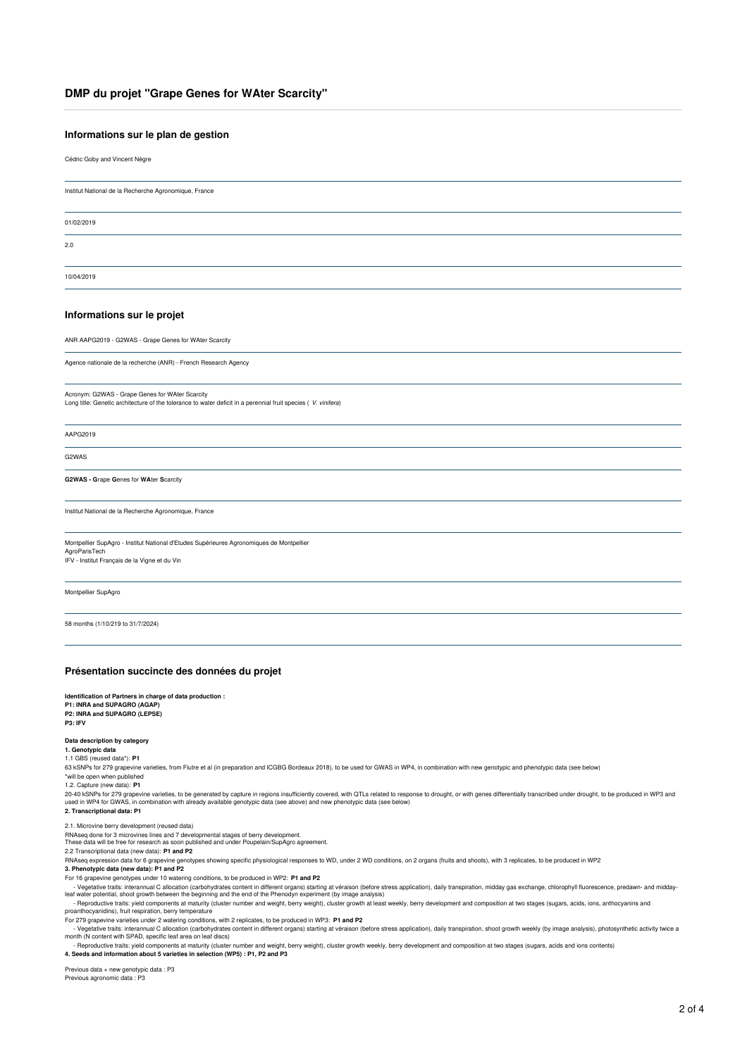# **DMP du projet "Grape Genes for WAter Scarcity"**

# **Informations sur le plan de gestion**

Cédric Goby and Vincent Nègre

Institut National de la Recherche Agronomique, France

01/02/2019

2.0

10/04/2019

### **Informations sur le projet**

ANR AAPG2019 - G2WAS -Grape Genes for WAter Scarcity

Agence nationale de la recherche (ANR) - French Research Agency

# Acronym: G2WAS - Grape Genes for WAter Scarcity

Long title: Genetic architecture of the tolerance to water deficit in a perennial fruit species ( *V. vinifera*)

AAPG2019

G2WAS

#### **G2WAS -G**rape **G**enes for **WA**ter **S**carcity

Institut National de la Recherche Agronomique, France

Montpellier SupAgro - Institut National d'Etudes Supérieures Agronomiques de Montpellier AgroParisTech IFV - Institut Français de la Vigne et du Vin

Montpellier SupAgro

58 months (1/10/219 to 31/7/2024)

# **Présentation succincte des données du projet**

**Identification of Partners in charge of data production : P1: INRA and SUPAGRO (AGAP) P2: INRA and SUPAGRO (LEPSE)**

### **P3: IFV**

**Data description by category**

#### **1. Genotypic data** 1.1 GBS (reused data\*): **P1**

63 kSNPs for 279 grapevine varieties, from Flutre et al (in preparation and ICGBG Bordeaux 2018), to be used for GWAS in WP4, in combination with new genotypic and phenotypic data (see below)

### \*will be open when published

1.2. Capture (new data): **P1**

20-40 kSNPs for 279 grapevine varieties, to be generated by capture in regions insufficiently covered, with QTLs related to response to drought, or with genes differentially transcribed under drought, to be produced in WP3

### **2. Transcriptional data: P1**

2.1. Microvine berry development (reused data)<br>RNAseq done for 3 microvines lines and 7 developmental stages of berry development.<br>These data will be free for research as soon published and under Poupelain/SupAgro agreemen

2.2 Transcriptional data (new data): **P1 and P2**

RNAseq expression data for 6 grapevine genotypes showing specific physiological responses to WD, under 2 WD conditions, on 2 organs (fruits and shoots), with 3 replicates, to be produced in WP2

# **3. Phenotypic data (new data): P1 and P2**

For 16 grapevine genotypes under 10 watering conditions, to be produced in WP2: **P1 and P2**

- Vegetative traits: interannual C allocation (carbohydrates content in different organs) starting at véraison (before stress application), daily transpiration, midday gas exchange, chlorophyll fluorescence, predawn- and m

- Reproductive traits: yield components at maturity (cluster number and weight, berry weight), cluster growth at least weekly, berry development and composition at two stages (sugars, acids, ions, anthocyanins and<br>proantho

For 279 grapevine varieties under 2 watering conditions, with 2 replicates, to be produced in WP3: **P1 and P2**

- Vegetative traits: interannual C allocation (carbohydrates content in different organs) starting at véraison (before stress application), daily transpiration, shoot growth weekly (by image analysis), photosynthetic activ

- Reproductive traits: yield components at maturity (cluster number and weight, berry weight), cluster growth weekly, berry development and composition at two stages (sugars, acids and ions contents)<br>4. Seeds and informati

Previous data + new genotypic data : P3

Previous agronomic data : P3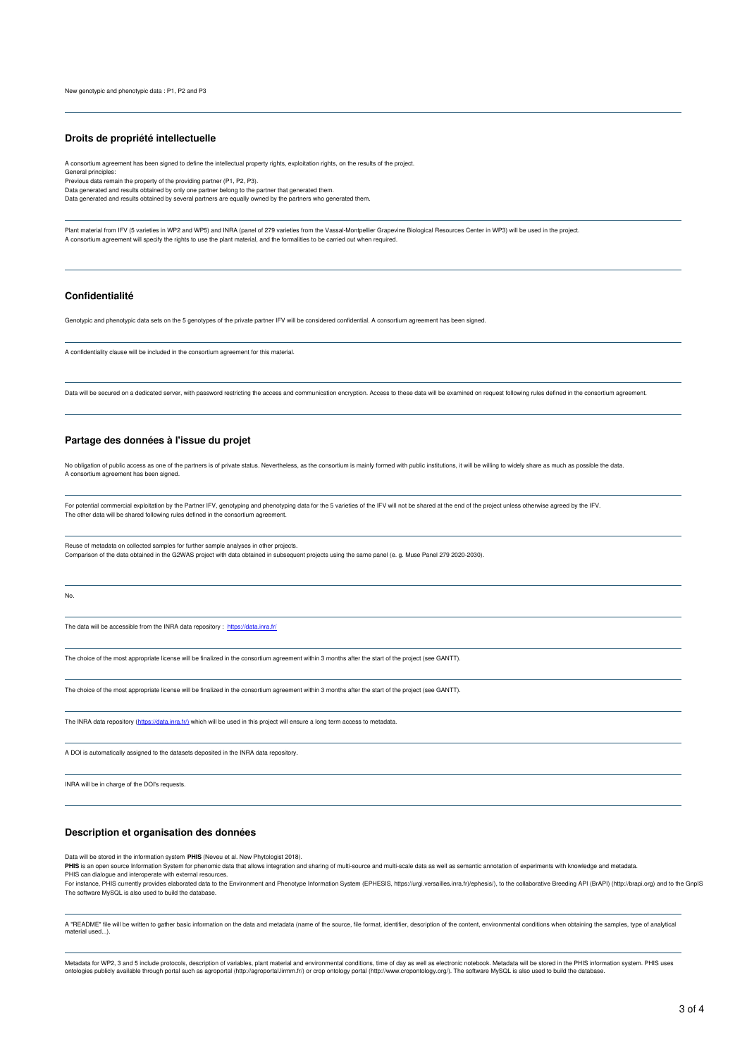### **Droits de propriété intellectuelle**

A consortium agreement has been signed to define the intellectual property rights, exploitation rights, on the results of the project.

General principles: Previous data remain the property of the providing partner (P1, P2, P3).

Data generated and results obtained by only one partner belong to the partner that generated them.

Data generated and results obtained by several partners are equally owned by the partners who generated them.

Plant material from IFV (5 varieties in WP2 and WP5) and INRA (panel of 279 varieties from the Vassal-Montpellier Grapevine Biological Resources Center in WP3) will be used in the project. A consortium agreement will specify the rights to use the plant material, and the formalities to be carried out when required.

# **Confidentialité**

Genotypic and phenotypic data sets on the 5 genotypes of the private partner IFV will be considered confidential. A consortium agreement has been signed.

A confidentiality clause will be included in the consortium agreement for this material.

Data will be secured on a dedicated server, with password restricting the access and communication encryption. Access to these data will be examined on request following rules defined in the consortium agreement.

# **Partage des données à l'issue du projet**

No obligation of public access as one of the partners is of private status. Nevertheless, as the consortium is mainly formed with public institutions, it will be willing to widely share as much as possible the data. A consortium agreement has been signed.

For potential commercial exploitation by the Partner IFV, genotyping and phenotyping data for the 5 varieties of the IFV will not be shared at the end of the project unless otherwise agreed by the IFV. The other data will be shared following rules defined in the consortium agreement.

Reuse of metadata on collected samples for further sample analyses in other projects. Comparison of the data obtained in the G2WAS project with data obtained in subsequent projects using the same panel (e. g. Muse Panel 279 2020-2030).

No.

The data will be accessible from the INRA data repository : <https://data.inra.fr/>

The choice of the most appropriate license will be finalized in the consortium agreement within 3 months after the start of the project (see GANTT).

The choice of the most appropriate license will be finalized in the consortium agreement within 3 months after the start of the project (see GANTT).

The INRA data repository ([https://data.inra.fr/\)](https://data.inra.fr/) which will be used in this project will ensure a long term access to metadata

A DOI is automatically assigned to the datasets deposited in the INRA data repository.

INRA will be in charge of the DOI's requests.

# **Description et organisation des données**

Data will be stored in the information system **PHIS** (Neveu et al. New Phytologist 2018).

**PHIS** is an open source Information System for phenomic data that allows integration and sharing of multi-source and multi-scale data as well as semantic annotation of experiments with knowledge and metadata.<br>PHIS is an o PHIS can dialogue and interoperate with external resources.

For instance, PHIS curently provides elaborated data to the Environment and Phenotype Information System (EPHESIS, https://urgi.versailles.inra.fr)/ephesis/), to the collaborative Breeding API (BrAPI) (http://brapi.org) an The software MySQL is also used to build the database.

A "README" file will be written to gather basic information on the data and metadata (name of the source, file format, identifier, description of the content, environmental conditions when obtaining the samples, type of an

Metadata for WP2, 3 and 5 include protocols, description of variables, plant material and environmental conditions, time of day as well as electronic notebook. Metadata will be stored in the PHIS information system. PHIS u